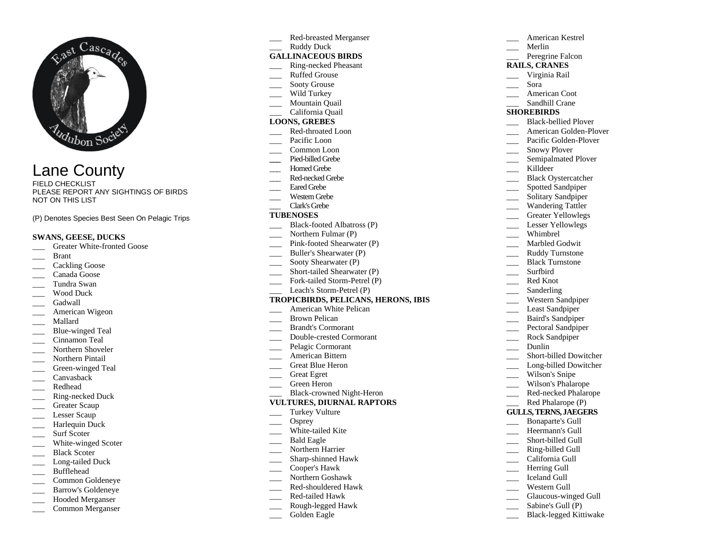

Lane County

FIELD CHECKLIST PLEASE REPORT ANY SIGHTINGS OF BIRDS NOT ON THIS LIST

(P) Denotes Species Best Seen On Pelagic Trips

### **SWANS, GEESE, DUCKS**

- Greater White-fronted Goose
- \_\_\_ Brant
- Cackling Goose
- \_\_\_ Canada Goose
- \_\_\_ Tundra Swan
- Wood Duck
- \_\_\_ Gadwall
- American Wigeon
- \_\_\_ Mallard
- Blue-winged Teal
- Cinnamon Teal
- Northern Shoveler
- \_\_\_ Northern Pintail
- Green-winged Teal
- \_\_\_ Canvasback
- \_\_\_ Redhead
- \_\_\_ Ring-necked Duck
- \_\_\_ Greater Scaup
- Lesser Scaup
- Harlequin Duck
- Surf Scoter
- \_\_\_\_ White-winged Scoter
- Black Scoter
- Long-tailed Duck
- \_\_\_ Bufflehead
- Common Goldeneye
- Barrow's Goldeneye
- Hooded Merganser
- \_\_\_ Common Merganser

\_\_\_ Red-breasted Merganser Ruddy Duck **GALLINACEOUS BIRDS**  \_\_\_ Ring-necked Pheasant Ruffed Grouse Sooty Grouse Wild Turkey Mountain Quail \_\_\_ California Quail **LOONS, GREBES** Red-throated Loon Pacific Loon \_\_\_ Common Loon **\_\_\_** Pied-billed Grebe Horned Grebe Red-necked Grebe Eared Grebe Western Grebe \_\_\_ Clark's Grebe **TUBENOSES** Black-footed Albatross (P) Northern Fulmar (P) \_\_\_ Pink-footed Shearwater (P) Buller's Shearwater (P) Sooty Shearwater (P) Short-tailed Shearwater (P) Fork-tailed Storm-Petrel (P) Leach's Storm-Petrel (P) **TROPICBIRDS, PELICANS, HERONS, IBIS** American White Pelican \_\_\_ Brown Pelican \_\_\_ Brandt's Cormorant \_\_\_ Double-crested Cormorant Pelagic Cormorant American Bittern Great Blue Heron \_\_\_ Great Egret \_\_\_ Green Heron \_\_\_ Black-crowned Night-Heron **VULTURES, DIURNAL RAPTORS** Turkey Vulture Osprey White-tailed Kite \_\_\_ Bald Eagle Northern Harrier \_\_\_ Sharp-shinned Hawk \_\_\_ Cooper's Hawk

- \_\_\_ Northern Goshawk
- \_\_\_ Red-shouldered Hawk
- \_\_\_ Red-tailed Hawk
- \_\_\_ Rough-legged Hawk
- 
- Golden Eagle

|                              | American Kestrel            |
|------------------------------|-----------------------------|
|                              | Merlin                      |
|                              | Peregrine Falcon            |
| <b>RAILS, CRANES</b>         |                             |
|                              | Virginia Rail               |
|                              | Sora                        |
|                              | American Coot               |
|                              | Sandhill Crane              |
| <b>SHOREBIRDS</b>            |                             |
|                              | <b>Black-bellied Plover</b> |
|                              | American Golden-Plover      |
|                              | Pacific Golden-Plover       |
|                              | <b>Snowy Plover</b>         |
|                              | Semipalmated Plover         |
|                              | Killdeer                    |
|                              | <b>Black Oystercatcher</b>  |
|                              | <b>Spotted Sandpiper</b>    |
|                              | Solitary Sandpiper          |
|                              | Wandering Tattler           |
|                              | <b>Greater Yellowlegs</b>   |
|                              | <b>Lesser Yellowlegs</b>    |
|                              | Whimbrel                    |
|                              | Marbled Godwit              |
|                              | Ruddy Turnstone             |
|                              | <b>Black Turnstone</b>      |
|                              | Surfbird                    |
|                              | Red Knot                    |
|                              | Sanderling                  |
|                              | Western Sandpiper           |
|                              | Least Sandpiper             |
|                              | <b>Baird's Sandpiper</b>    |
|                              | Pectoral Sandpiper          |
|                              | Rock Sandpiper              |
|                              | Dunlin                      |
|                              | Short-billed Dowitcher      |
|                              | Long-billed Dowitcher       |
|                              | Wilson's Snipe              |
|                              | Wilson's Phalarope          |
|                              | Red-necked Phalarope        |
|                              | Red Phalarope (P)           |
| <b>GULLS, TERNS, JAEGERS</b> |                             |
|                              | <b>Bonaparte's Gull</b>     |
|                              | Heermann's Gull             |
|                              | Short-billed Gull           |
|                              | Ring-billed Gull            |
|                              | California Gull             |
|                              | Herring Gull                |
|                              | <b>Iceland Gull</b>         |
|                              | Western Gull                |
|                              | Glaucous-winged Gull        |
|                              |                             |

Sabine's Gull (P) \_\_\_ Black-legged Kittiwake